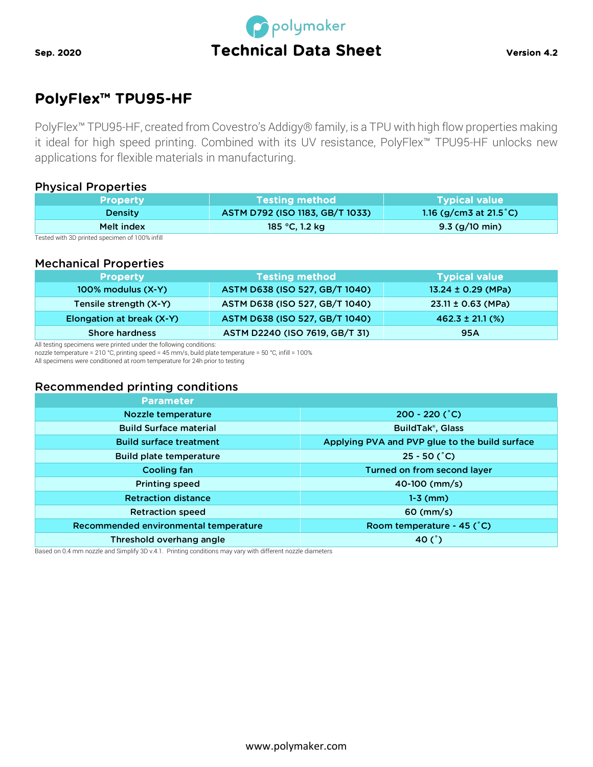

# PolyFlex™ TPU95-HF

PolyFlex™ TPU95-HF, created from Covestro's Addigy® family, is a TPU with high flow properties making it ideal for high speed printing. Combined with its UV resistance, PolyFlex™ TPU95-HF unlocks new applications for flexible materials in manufacturing.

## Physical Properties

| <b>Property</b> | <b>Testing method</b>           | <b>Typical value</b>              |
|-----------------|---------------------------------|-----------------------------------|
| <b>Density</b>  | ASTM D792 (ISO 1183, GB/T 1033) | 1.16 (g/cm3 at 21.5 $^{\circ}$ C) |
| Melt index      | 185 °C, 1.2 kg                  | $9.3$ (g/10 min)                  |

Tested with 3D printed specimen of 100% infill

#### Mechanical Properties

| <b>Property</b>           | Testing method                 | <b>Typical value</b>   |
|---------------------------|--------------------------------|------------------------|
| $100\%$ modulus $(X-Y)$   | ASTM D638 (ISO 527, GB/T 1040) | 13.24 ± 0.29 (MPa)     |
| Tensile strength (X-Y)    | ASTM D638 (ISO 527, GB/T 1040) | $23.11 \pm 0.63$ (MPa) |
| Elongation at break (X-Y) | ASTM D638 (ISO 527, GB/T 1040) | $462.3 \pm 21.1$ (%)   |
| <b>Shore hardness</b>     | ASTM D2240 (ISO 7619, GB/T 31) | 95A                    |

All testing specimens were printed under the following conditions:

nozzle temperature = 210 °C, printing speed = 45 mm/s, build plate temperature = 50 °C, infill = 100% All specimens were conditioned at room temperature for 24h prior to testing

# Recommended printing conditions

| Parameter                             |                                                |
|---------------------------------------|------------------------------------------------|
| Nozzle temperature                    | $200 - 220$ (°C)                               |
| <b>Build Surface material</b>         | <b>BuildTak®, Glass</b>                        |
| <b>Build surface treatment</b>        | Applying PVA and PVP glue to the build surface |
| <b>Build plate temperature</b>        | $25 - 50$ (°C)                                 |
| Cooling fan                           | Turned on from second layer                    |
| <b>Printing speed</b>                 | 40-100 (mm/s)                                  |
| <b>Retraction distance</b>            | $1-3$ (mm)                                     |
| <b>Retraction speed</b>               | $60 \, \text{(mm/s)}$                          |
| Recommended environmental temperature | Room temperature - 45 (°C)                     |
| Threshold overhang angle              | 40 $(^{\circ})$                                |

Based on 0.4 mm nozzle and Simplify 3D v.4.1. Printing conditions may vary with different nozzle diameters